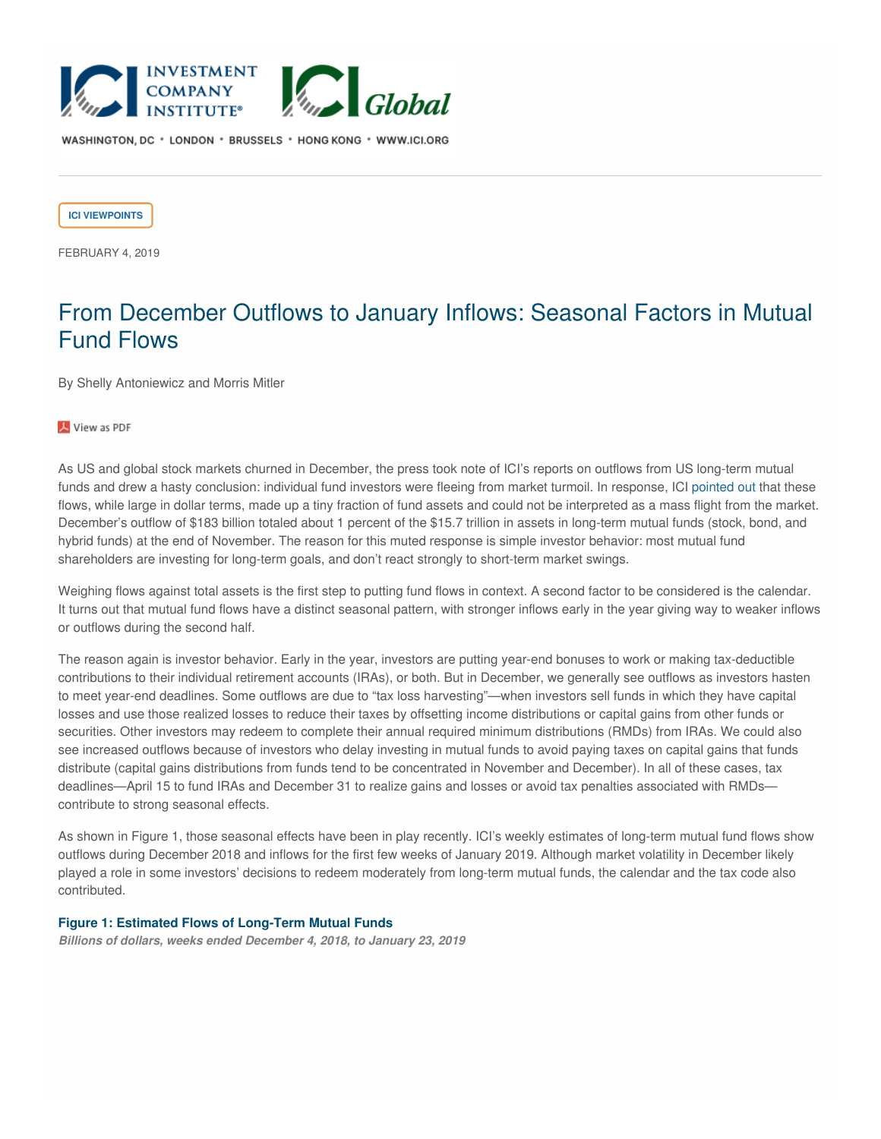

WASHINGTON, DC \* LONDON \* BRUSSELS \* HONG KONG \* WWW.ICI.ORG

**ICI [VIEWPOINTS](https://www.ici.org/taxonomy/term/121)**

FEBRUARY 4, 2019

## From December Outflows to January Inflows: Seasonal Factors in Mutual Fund Flows

By Shelly Antoniewicz and Morris Mitler

View as PDF

As US and global stock markets churned in December, the press took note of ICI's reports on outflows from US long-term mutual funds and drew a hasty conclusion: individual fund investors were fleeing from market turmoil. In response, ICI [pointed](https://www.ici.org/viewpoints/view_18_equity_flows) out that these flows, while large in dollar terms, made up a tiny fraction of fund assets and could not be interpreted as a mass flight from the market. December's outflow of \$183 billion totaled about 1 percent of the \$15.7 trillion in assets in long-term mutual funds (stock, bond, and hybrid funds) at the end of November. The reason for this muted response is simple investor behavior: most mutual fund shareholders are investing for long-term goals, and don't react strongly to short-term market swings.

Weighing flows against total assets is the first step to putting fund flows in context. A second factor to be considered is the calendar. It turns out that mutual fund flows have a distinct seasonal pattern, with stronger inflows early in the year giving way to weaker inflows or outflows during the second half.

The reason again is investor behavior. Early in the year, investors are putting year-end bonuses to work or making tax-deductible contributions to their individual retirement accounts (IRAs), or both. But in December, we generally see outflows as investors hasten to meet year-end deadlines. Some outflows are due to "tax loss harvesting"—when investors sell funds in which they have capital losses and use those realized losses to reduce their taxes by offsetting income distributions or capital gains from other funds or securities. Other investors may redeem to complete their annual required minimum distributions (RMDs) from IRAs. We could also see increased outflows because of investors who delay investing in mutual funds to avoid paying taxes on capital gains that funds distribute (capital gains distributions from funds tend to be concentrated in November and December). In all of these cases, tax deadlines—April 15 to fund IRAs and December 31 to realize gains and losses or avoid tax penalties associated with RMDs contribute to strong seasonal effects.

As shown in Figure 1, those seasonal effects have been in play recently. ICI's weekly estimates of long-term mutual fund flows show outflows during December 2018 and inflows for the first few weeks of January 2019. Although market volatility in December likely played a role in some investors' decisions to redeem moderately from long-term mutual funds, the calendar and the tax code also contributed.

## **Figure 1: Estimated Flows of Long-Term Mutual Funds**

*Billions of dollars, weeks ended December 4, 2018, to January 23, 2019*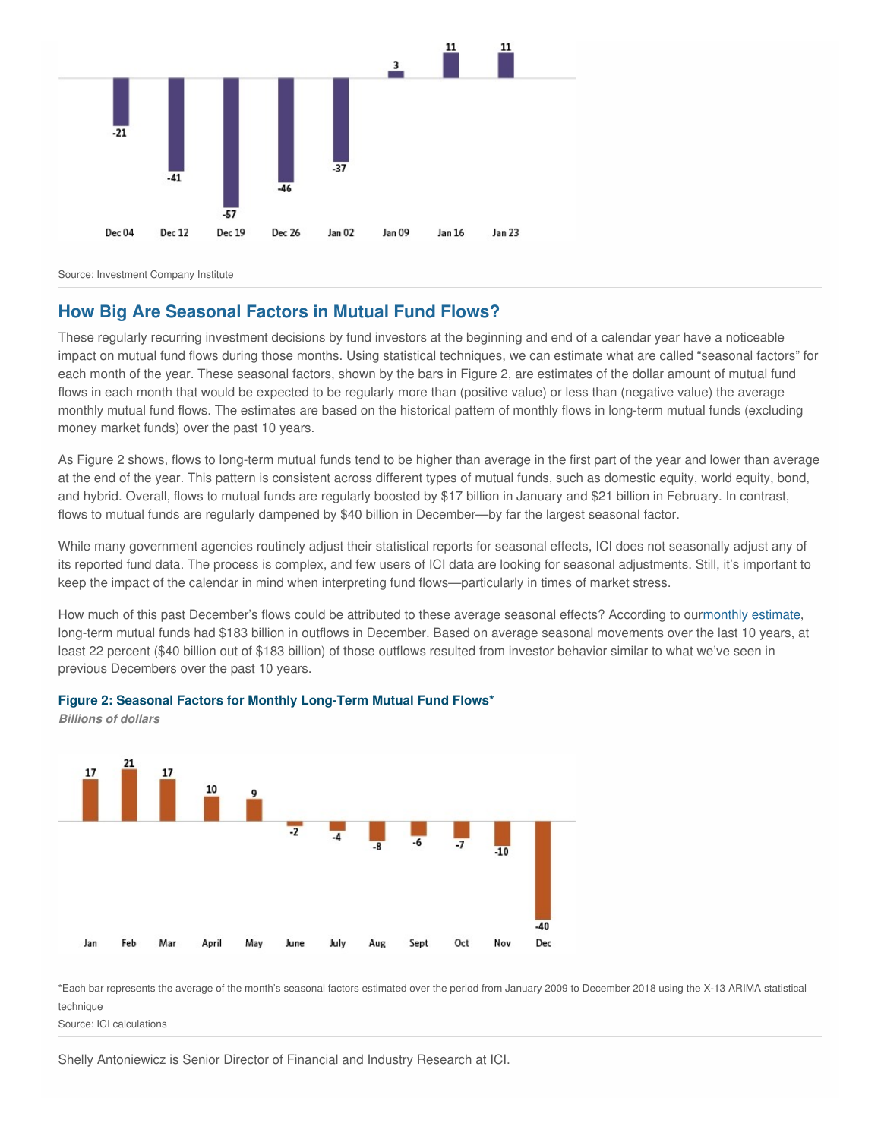

Source: Investment Company Institute

## **How Big Are Seasonal Factors in Mutual Fund Flows?**

These regularly recurring investment decisions by fund investors at the beginning and end of a calendar year have a noticeable impact on mutual fund flows during those months. Using statistical techniques, we can estimate what are called "seasonal factors" for each month of the year. These seasonal factors, shown by the bars in Figure 2, are estimates of the dollar amount of mutual fund flows in each month that would be expected to be regularly more than (positive value) or less than (negative value) the average monthly mutual fund flows. The estimates are based on the historical pattern of monthly flows in long-term mutual funds (excluding money market funds) over the past 10 years.

As Figure 2 shows, flows to long-term mutual funds tend to be higher than average in the first part of the year and lower than average at the end of the year. This pattern is consistent across different types of mutual funds, such as domestic equity, world equity, bond, and hybrid. Overall, flows to mutual funds are regularly boosted by \$17 billion in January and \$21 billion in February. In contrast, flows to mutual funds are regularly dampened by \$40 billion in December—by far the largest seasonal factor.

While many government agencies routinely adjust their statistical reports for seasonal effects, ICI does not seasonally adjust any of its reported fund data. The process is complex, and few users of ICI data are looking for seasonal adjustments. Still, it's important to keep the impact of the calendar in mind when interpreting fund flows—particularly in times of market stress.

How much of this past December's flows could be attributed to these average seasonal effects? According to ourmonthly [estimate](https://www.ici.org/research/stats/trends/trends_12_18), long-term mutual funds had \$183 billion in outflows in December. Based on average seasonal movements over the last 10 years, at least 22 percent (\$40 billion out of \$183 billion) of those outflows resulted from investor behavior similar to what we've seen in previous Decembers over the past 10 years.



## **Figure 2: Seasonal Factors for Monthly Long-Term Mutual Fund Flows\***

\*Each bar represents the average of the month's seasonal factors estimated over the period from January 2009 to December 2018 using the X-13 ARIMA statistical technique

Source: ICI calculations

*Billions of dollars*

Shelly Antoniewicz is Senior Director of Financial and Industry Research at ICI.